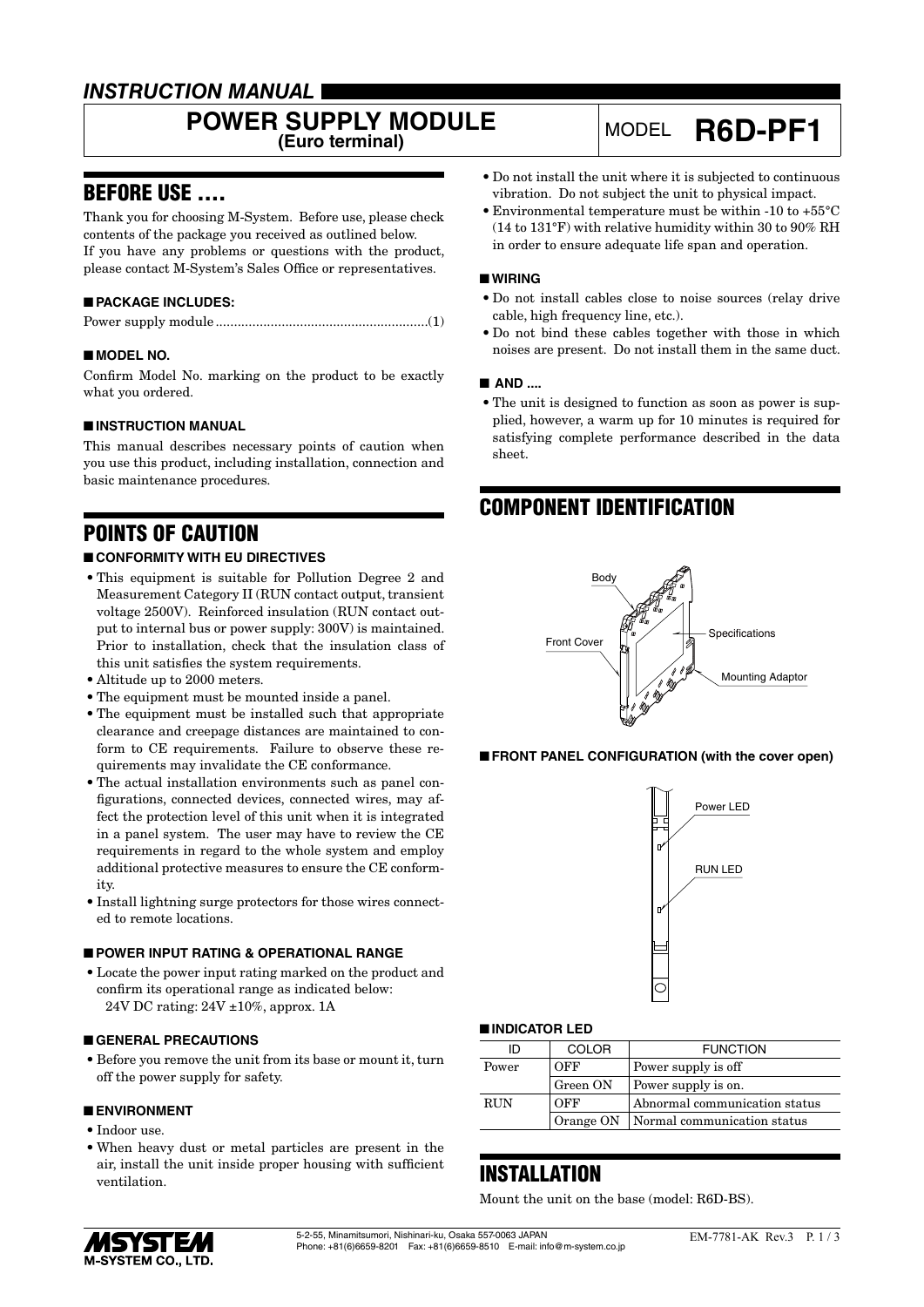### *INSTRUCTION MANUAL*

# **POWER SUPPLY MODULE**

## **(Euro terminal)** MODEL **R6D-PF1**

### BEFORE USE ....

Thank you for choosing M-System. Before use, please check contents of the package you received as outlined below. If you have any problems or questions with the product, please contact M-System's Sales Office or representatives.

#### ■ **PACKAGE INCLUDES:**

|--|--|--|--|

#### ■ **MODEL NO.**

Confirm Model No. marking on the product to be exactly what you ordered.

#### ■ **INSTRUCTION MANUAL**

This manual describes necessary points of caution when you use this product, including installation, connection and basic maintenance procedures.

### POINTS OF CAUTION

#### ■ **CONFORMITY WITH EU DIRECTIVES**

- This equipment is suitable for Pollution Degree 2 and Measurement Category II (RUN contact output, transient voltage 2500V). Reinforced insulation (RUN contact output to internal bus or power supply: 300V) is maintained. Prior to installation, check that the insulation class of this unit satisfies the system requirements.
- Altitude up to 2000 meters.
- The equipment must be mounted inside a panel.
- The equipment must be installed such that appropriate clearance and creepage distances are maintained to conform to CE requirements. Failure to observe these requirements may invalidate the CE conformance.
- The actual installation environments such as panel configurations, connected devices, connected wires, may affect the protection level of this unit when it is integrated in a panel system. The user may have to review the CE requirements in regard to the whole system and employ additional protective measures to ensure the CE conformity.
- Install lightning surge protectors for those wires connected to remote locations.

#### ■ **POWER INPUT RATING & OPERATIONAL RANGE**

• Locate the power input rating marked on the product and confirm its operational range as indicated below: 24V DC rating: 24V ±10%, approx. 1A

#### ■ **GENERAL PRECAUTIONS**

• Before you remove the unit from its base or mount it, turn off the power supply for safety.

#### ■ **ENVIRONMENT**

- Indoor use.
- When heavy dust or metal particles are present in the air, install the unit inside proper housing with sufficient ventilation.
- Do not install the unit where it is subjected to continuous vibration. Do not subject the unit to physical impact.
- Environmental temperature must be within -10 to +55°C (14 to 131°F) with relative humidity within 30 to 90% RH in order to ensure adequate life span and operation.

#### ■ **WIRING**

- Do not install cables close to noise sources (relay drive cable, high frequency line, etc.).
- Do not bind these cables together with those in which noises are present. Do not install them in the same duct.

#### ■ **AND ....**

• The unit is designed to function as soon as power is supplied, however, a warm up for 10 minutes is required for satisfying complete performance described in the data sheet.

### COMPONENT IDENTIFICATION



■ **FRONT PANEL CONFIGURATION (with the cover open)**



#### ■ **INDICATOR LED**

| ID         | <b>COLOR</b> | <b>FUNCTION</b>                         |
|------------|--------------|-----------------------------------------|
| Power      | OFF          | Power supply is off                     |
|            | Green ON     | Power supply is on.                     |
| <b>RUN</b> | OFF          | Abnormal communication status           |
|            |              | Orange ON   Normal communication status |

### INSTALLATION

Mount the unit on the base (model: R6D-BS).

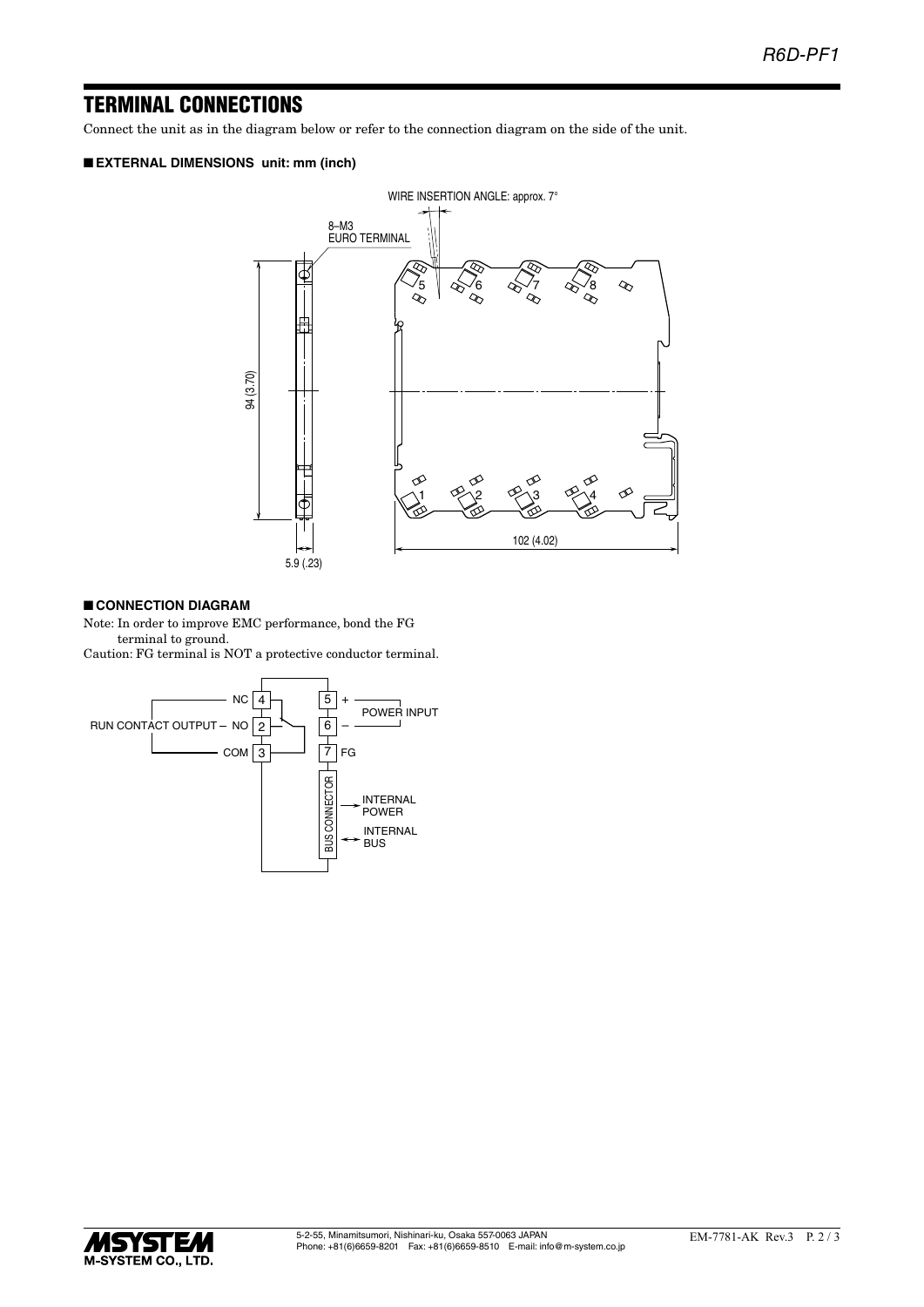### TERMINAL CONNECTIONS

Connect the unit as in the diagram below or refer to the connection diagram on the side of the unit.

#### ■ **EXTERNAL DIMENSIONS unit: mm (inch)**



#### ■ **CONNECTION DIAGRAM**

Note: In order to improve EMC performance, bond the FG terminal to ground.

Caution: FG terminal is NOT a protective conductor terminal.